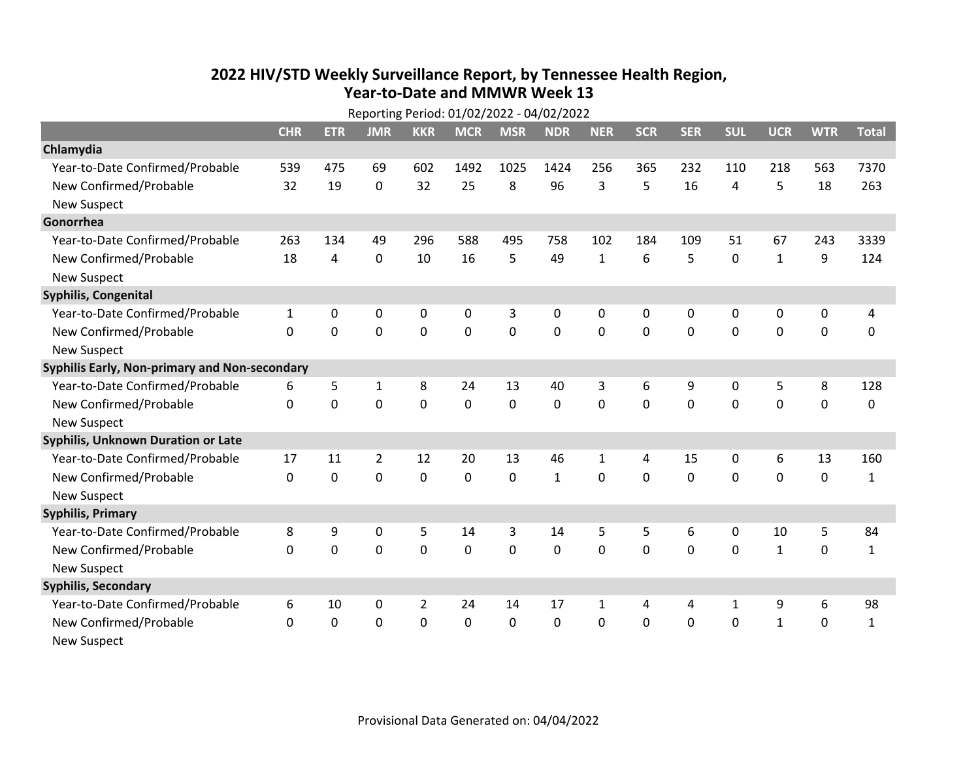## **2022 HIV /STD Weekl y Surveillance Report, b y Tennessee Health Region, Year‐to‐Date and MMWR Week 13**

|                                               | Reporting Period: 01/02/2022 - 04/02/2022 |             |                |                |             |                |              |              |              |            |             |              |             |              |
|-----------------------------------------------|-------------------------------------------|-------------|----------------|----------------|-------------|----------------|--------------|--------------|--------------|------------|-------------|--------------|-------------|--------------|
|                                               | <b>CHR</b>                                | <b>ETR</b>  | <b>JMR</b>     | <b>KKR</b>     | <b>MCR</b>  | <b>MSR</b>     | <b>NDR</b>   | <b>NER</b>   | <b>SCR</b>   | <b>SER</b> | <b>SUL</b>  | <b>UCR</b>   | <b>WTR</b>  | <b>Total</b> |
| Chlamydia                                     |                                           |             |                |                |             |                |              |              |              |            |             |              |             |              |
| Year-to-Date Confirmed/Probable               | 539                                       | 475         | 69             | 602            | 1492        | 1025           | 1424         | 256          | 365          | 232        | 110         | 218          | 563         | 7370         |
| New Confirmed/Probable                        | 32                                        | 19          | 0              | 32             | 25          | 8              | 96           | 3            | 5            | 16         | 4           | 5            | 18          | 263          |
| <b>New Suspect</b>                            |                                           |             |                |                |             |                |              |              |              |            |             |              |             |              |
| Gonorrhea                                     |                                           |             |                |                |             |                |              |              |              |            |             |              |             |              |
| Year-to-Date Confirmed/Probable               | 263                                       | 134         | 49             | 296            | 588         | 495            | 758          | 102          | 184          | 109        | 51          | 67           | 243         | 3339         |
| New Confirmed/Probable                        | 18                                        | 4           | 0              | 10             | 16          | 5              | 49           | $\mathbf{1}$ | 6            | 5          | $\mathbf 0$ | $\mathbf{1}$ | 9           | 124          |
| <b>New Suspect</b>                            |                                           |             |                |                |             |                |              |              |              |            |             |              |             |              |
| <b>Syphilis, Congenital</b>                   |                                           |             |                |                |             |                |              |              |              |            |             |              |             |              |
| Year-to-Date Confirmed/Probable               | $\mathbf{1}$                              | 0           | $\mathbf 0$    | 0              | 0           | 3              | 0            | 0            | $\mathbf 0$  | 0          | 0           | 0            | 0           | 4            |
| New Confirmed/Probable                        | $\Omega$                                  | $\mathbf 0$ | $\mathbf 0$    | 0              | 0           | $\overline{0}$ | 0            | 0            | $\mathbf{0}$ | 0          | 0           | 0            | $\mathbf 0$ | 0            |
| <b>New Suspect</b>                            |                                           |             |                |                |             |                |              |              |              |            |             |              |             |              |
| Syphilis Early, Non-primary and Non-secondary |                                           |             |                |                |             |                |              |              |              |            |             |              |             |              |
| Year-to-Date Confirmed/Probable               | 6                                         | 5           | $\mathbf{1}$   | 8              | 24          | 13             | 40           | 3            | 6            | 9          | 0           | 5            | 8           | 128          |
| New Confirmed/Probable                        | 0                                         | 0           | 0              | 0              | $\mathbf 0$ | 0              | 0            | 0            | 0            | 0          | 0           | $\mathbf 0$  | 0           | 0            |
| <b>New Suspect</b>                            |                                           |             |                |                |             |                |              |              |              |            |             |              |             |              |
| <b>Syphilis, Unknown Duration or Late</b>     |                                           |             |                |                |             |                |              |              |              |            |             |              |             |              |
| Year-to-Date Confirmed/Probable               | 17                                        | 11          | $\overline{2}$ | 12             | 20          | 13             | 46           | 1            | 4            | 15         | 0           | 6            | 13          | 160          |
| New Confirmed/Probable                        | 0                                         | $\mathbf 0$ | $\mathbf 0$    | 0              | 0           | 0              | $\mathbf{1}$ | 0            | 0            | 0          | 0           | $\mathbf 0$  | $\mathbf 0$ | $\mathbf{1}$ |
| <b>New Suspect</b>                            |                                           |             |                |                |             |                |              |              |              |            |             |              |             |              |
| <b>Syphilis, Primary</b>                      |                                           |             |                |                |             |                |              |              |              |            |             |              |             |              |
| Year-to-Date Confirmed/Probable               | 8                                         | 9           | 0              | 5              | 14          | 3              | 14           | 5            | 5            | 6          | 0           | 10           | 5           | 84           |
| New Confirmed/Probable                        | 0                                         | 0           | $\mathbf 0$    | 0              | $\mathbf 0$ | 0              | 0            | 0            | 0            | 0          | 0           | $\mathbf 1$  | 0           | $\mathbf{1}$ |
| <b>New Suspect</b>                            |                                           |             |                |                |             |                |              |              |              |            |             |              |             |              |
| <b>Syphilis, Secondary</b>                    |                                           |             |                |                |             |                |              |              |              |            |             |              |             |              |
| Year-to-Date Confirmed/Probable               | 6                                         | 10          | 0              | $\overline{2}$ | 24          | 14             | 17           | 1            | 4            | 4          | 1           | 9            | 6           | 98           |
| New Confirmed/Probable                        | $\mathbf{0}$                              | 0           | $\mathbf{0}$   | 0              | 0           | 0              | 0            | $\Omega$     | $\mathbf{0}$ | 0          | 0           | $\mathbf{1}$ | 0           | $\mathbf{1}$ |
| <b>New Suspect</b>                            |                                           |             |                |                |             |                |              |              |              |            |             |              |             |              |